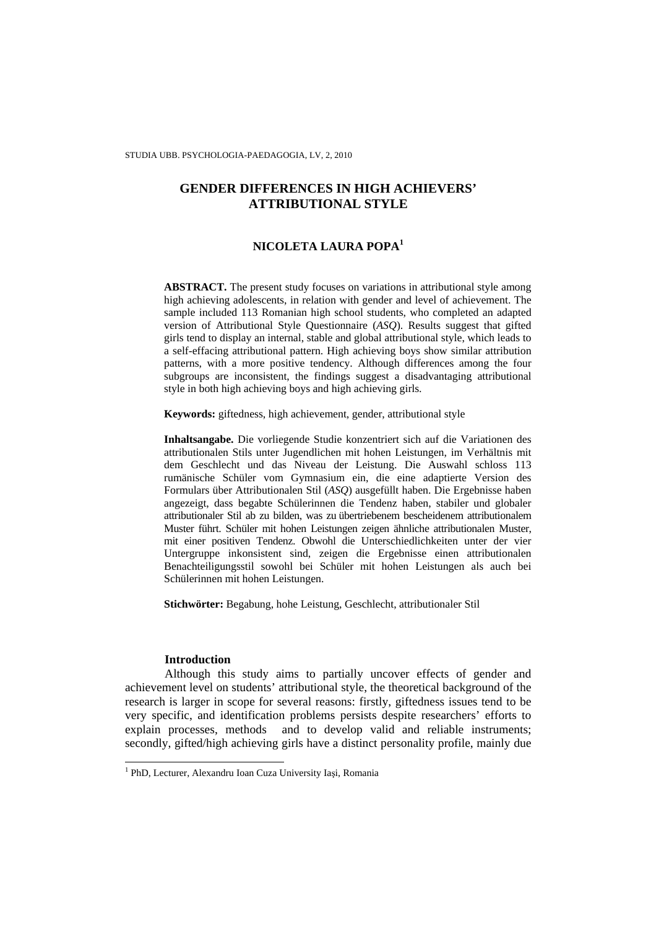# **GENDER DIFFERENCES IN HIGH ACHIEVERS' ATTRIBUTIONAL STYLE**

# **NICOLETA LAURA POPA<sup>1</sup>**

**ABSTRACT.** The present study focuses on variations in attributional style among high achieving adolescents, in relation with gender and level of achievement. The sample included 113 Romanian high school students, who completed an adapted version of Attributional Style Questionnaire (*ASQ*). Results suggest that gifted girls tend to display an internal, stable and global attributional style, which leads to a self-effacing attributional pattern. High achieving boys show similar attribution patterns, with a more positive tendency. Although differences among the four subgroups are inconsistent, the findings suggest a disadvantaging attributional style in both high achieving boys and high achieving girls.

**Keywords:** giftedness, high achievement, gender, attributional style

**Inhaltsangabe.** Die vorliegende Studie konzentriert sich auf die Variationen des attributionalen Stils unter Jugendlichen mit hohen Leistungen, im Verhältnis mit dem Geschlecht und das Niveau der Leistung. Die Auswahl schloss 113 rumänische Schüler vom Gymnasium ein, die eine adaptierte Version des Formulars über Attributionalen Stil (*ASQ*) ausgefüllt haben. Die Ergebnisse haben angezeigt, dass begabte Schülerinnen die Tendenz haben, stabiler und globaler attributionaler Stil ab zu bilden, was zu übertriebenem bescheidenem attributionalem Muster führt. Schüler mit hohen Leistungen zeigen ähnliche attributionalen Muster, mit einer positiven Tendenz. Obwohl die Unterschiedlichkeiten unter der vier Untergruppe inkonsistent sind, zeigen die Ergebnisse einen attributionalen Benachteiligungsstil sowohl bei Schüler mit hohen Leistungen als auch bei Schülerinnen mit hohen Leistungen.

**Stichwörter:** Begabung, hohe Leistung, Geschlecht, attributionaler Stil

## **Introduction**

Although this study aims to partially uncover effects of gender and achievement level on students' attributional style, the theoretical background of the research is larger in scope for several reasons: firstly, giftedness issues tend to be very specific, and identification problems persists despite researchers' efforts to explain processes, methods and to develop valid and reliable instruments; secondly, gifted/high achieving girls have a distinct personality profile, mainly due

 1 PhD, Lecturer, Alexandru Ioan Cuza University Iaşi, Romania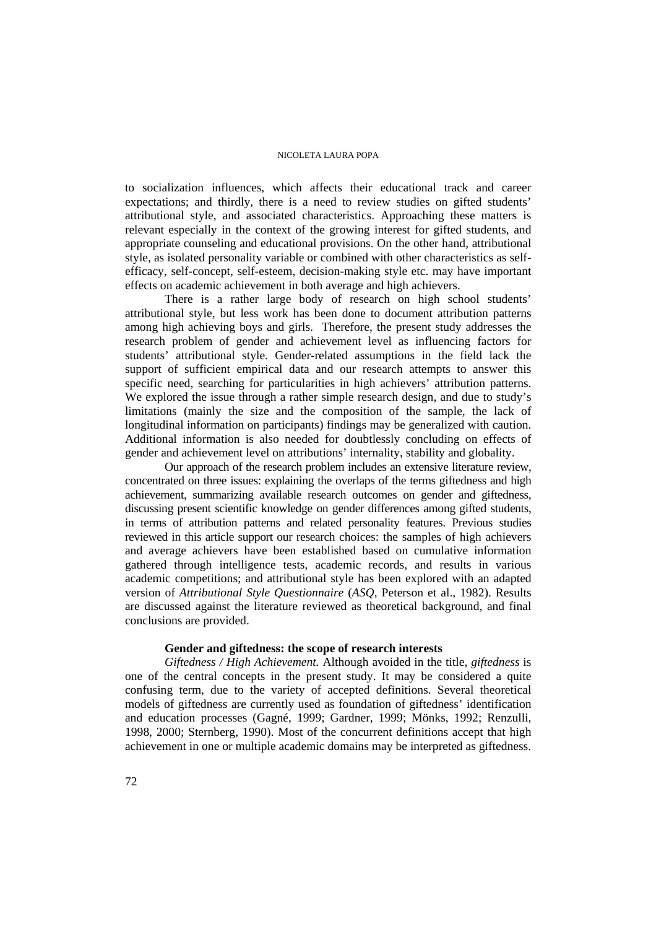to socialization influences, which affects their educational track and career expectations; and thirdly, there is a need to review studies on gifted students' attributional style, and associated characteristics. Approaching these matters is relevant especially in the context of the growing interest for gifted students, and appropriate counseling and educational provisions. On the other hand, attributional style, as isolated personality variable or combined with other characteristics as selfefficacy, self-concept, self-esteem, decision-making style etc. may have important effects on academic achievement in both average and high achievers.

There is a rather large body of research on high school students' attributional style, but less work has been done to document attribution patterns among high achieving boys and girls. Therefore, the present study addresses the research problem of gender and achievement level as influencing factors for students' attributional style. Gender-related assumptions in the field lack the support of sufficient empirical data and our research attempts to answer this specific need, searching for particularities in high achievers' attribution patterns. We explored the issue through a rather simple research design, and due to study's limitations (mainly the size and the composition of the sample, the lack of longitudinal information on participants) findings may be generalized with caution. Additional information is also needed for doubtlessly concluding on effects of gender and achievement level on attributions' internality, stability and globality.

Our approach of the research problem includes an extensive literature review, concentrated on three issues: explaining the overlaps of the terms giftedness and high achievement, summarizing available research outcomes on gender and giftedness, discussing present scientific knowledge on gender differences among gifted students, in terms of attribution patterns and related personality features. Previous studies reviewed in this article support our research choices: the samples of high achievers and average achievers have been established based on cumulative information gathered through intelligence tests, academic records, and results in various academic competitions; and attributional style has been explored with an adapted version of *Attributional Style Questionnaire* (*ASQ,* Peterson et al., 1982). Results are discussed against the literature reviewed as theoretical background, and final conclusions are provided.

# **Gender and giftedness: the scope of research interests**

*Giftedness / High Achievement.* Although avoided in the title, *giftedness* is one of the central concepts in the present study. It may be considered a quite confusing term, due to the variety of accepted definitions. Several theoretical models of giftedness are currently used as foundation of giftedness' identification and education processes (Gagné, 1999; Gardner, 1999; Mönks, 1992; Renzulli, 1998, 2000; Sternberg, 1990). Most of the concurrent definitions accept that high achievement in one or multiple academic domains may be interpreted as giftedness.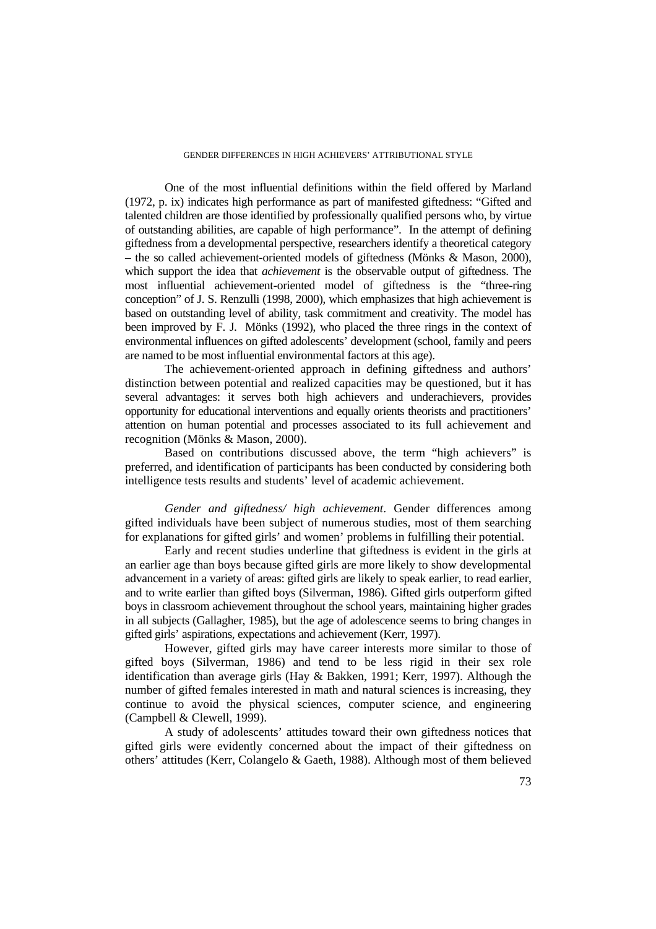### GENDER DIFFERENCES IN HIGH ACHIEVERS' ATTRIBUTIONAL STYLE

One of the most influential definitions within the field offered by Marland (1972, p. ix) indicates high performance as part of manifested giftedness: "Gifted and talented children are those identified by professionally qualified persons who, by virtue of outstanding abilities, are capable of high performance". In the attempt of defining giftedness from a developmental perspective, researchers identify a theoretical category – the so called achievement-oriented models of giftedness (Mönks & Mason, 2000), which support the idea that *achievement* is the observable output of giftedness. The most influential achievement-oriented model of giftedness is the "three-ring conception" of J. S. Renzulli (1998, 2000), which emphasizes that high achievement is based on outstanding level of ability, task commitment and creativity. The model has been improved by F. J. Mönks (1992), who placed the three rings in the context of environmental influences on gifted adolescents' development (school, family and peers are named to be most influential environmental factors at this age).

The achievement-oriented approach in defining giftedness and authors' distinction between potential and realized capacities may be questioned, but it has several advantages: it serves both high achievers and underachievers, provides opportunity for educational interventions and equally orients theorists and practitioners' attention on human potential and processes associated to its full achievement and recognition (Mönks & Mason, 2000).

Based on contributions discussed above, the term "high achievers" is preferred, and identification of participants has been conducted by considering both intelligence tests results and students' level of academic achievement.

*Gender and giftedness/ high achievement*. Gender differences among gifted individuals have been subject of numerous studies, most of them searching for explanations for gifted girls' and women' problems in fulfilling their potential.

Early and recent studies underline that giftedness is evident in the girls at an earlier age than boys because gifted girls are more likely to show developmental advancement in a variety of areas: gifted girls are likely to speak earlier, to read earlier, and to write earlier than gifted boys (Silverman, 1986). Gifted girls outperform gifted boys in classroom achievement throughout the school years, maintaining higher grades in all subjects (Gallagher, 1985), but the age of adolescence seems to bring changes in gifted girls' aspirations, expectations and achievement (Kerr, 1997).

However, gifted girls may have career interests more similar to those of gifted boys (Silverman, 1986) and tend to be less rigid in their sex role identification than average girls (Hay & Bakken, 1991; Kerr, 1997). Although the number of gifted females interested in math and natural sciences is increasing, they continue to avoid the physical sciences, computer science, and engineering (Campbell & Clewell, 1999).

A study of adolescents' attitudes toward their own giftedness notices that gifted girls were evidently concerned about the impact of their giftedness on others' attitudes (Kerr, Colangelo & Gaeth, 1988). Although most of them believed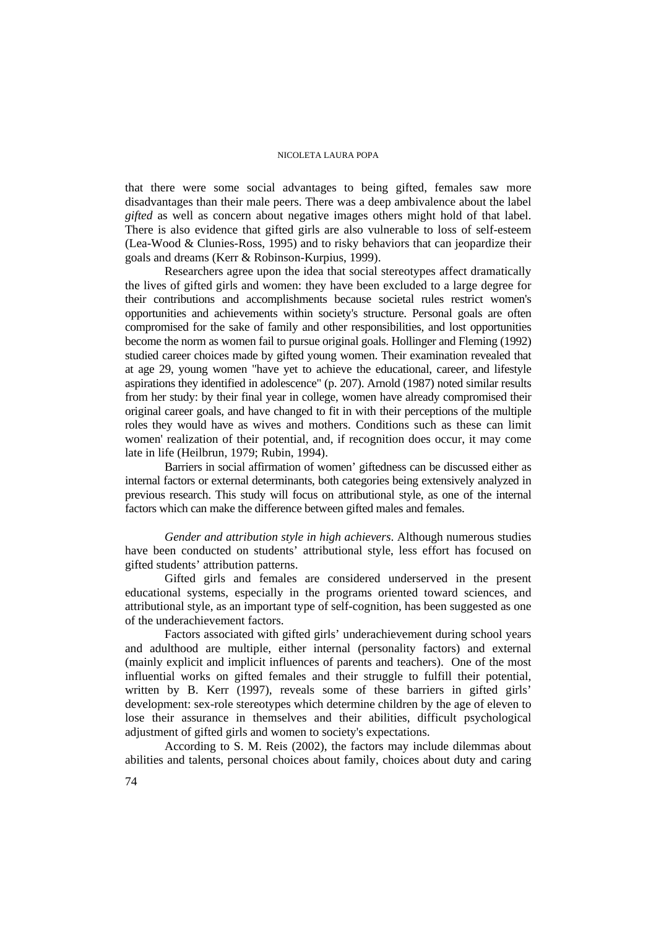that there were some social advantages to being gifted, females saw more disadvantages than their male peers. There was a deep ambivalence about the label *gifted* as well as concern about negative images others might hold of that label. There is also evidence that gifted girls are also vulnerable to loss of self-esteem (Lea-Wood & Clunies-Ross, 1995) and to risky behaviors that can jeopardize their goals and dreams (Kerr & Robinson-Kurpius, 1999).

Researchers agree upon the idea that social stereotypes affect dramatically the lives of gifted girls and women: they have been excluded to a large degree for their contributions and accomplishments because societal rules restrict women's opportunities and achievements within society's structure. Personal goals are often compromised for the sake of family and other responsibilities, and lost opportunities become the norm as women fail to pursue original goals. Hollinger and Fleming (1992) studied career choices made by gifted young women. Their examination revealed that at age 29, young women "have yet to achieve the educational, career, and lifestyle aspirations they identified in adolescence" (p. 207). Arnold (1987) noted similar results from her study: by their final year in college, women have already compromised their original career goals, and have changed to fit in with their perceptions of the multiple roles they would have as wives and mothers. Conditions such as these can limit women' realization of their potential, and, if recognition does occur, it may come late in life (Heilbrun, 1979; Rubin, 1994).

Barriers in social affirmation of women' giftedness can be discussed either as internal factors or external determinants, both categories being extensively analyzed in previous research. This study will focus on attributional style, as one of the internal factors which can make the difference between gifted males and females.

*Gender and attribution style in high achievers*. Although numerous studies have been conducted on students' attributional style, less effort has focused on gifted students' attribution patterns.

Gifted girls and females are considered underserved in the present educational systems, especially in the programs oriented toward sciences, and attributional style, as an important type of self-cognition, has been suggested as one of the underachievement factors.

Factors associated with gifted girls' underachievement during school years and adulthood are multiple, either internal (personality factors) and external (mainly explicit and implicit influences of parents and teachers). One of the most influential works on gifted females and their struggle to fulfill their potential, written by B. Kerr (1997), reveals some of these barriers in gifted girls' development: sex-role stereotypes which determine children by the age of eleven to lose their assurance in themselves and their abilities, difficult psychological adjustment of gifted girls and women to society's expectations.

According to S. M. Reis (2002), the factors may include dilemmas about abilities and talents, personal choices about family, choices about duty and caring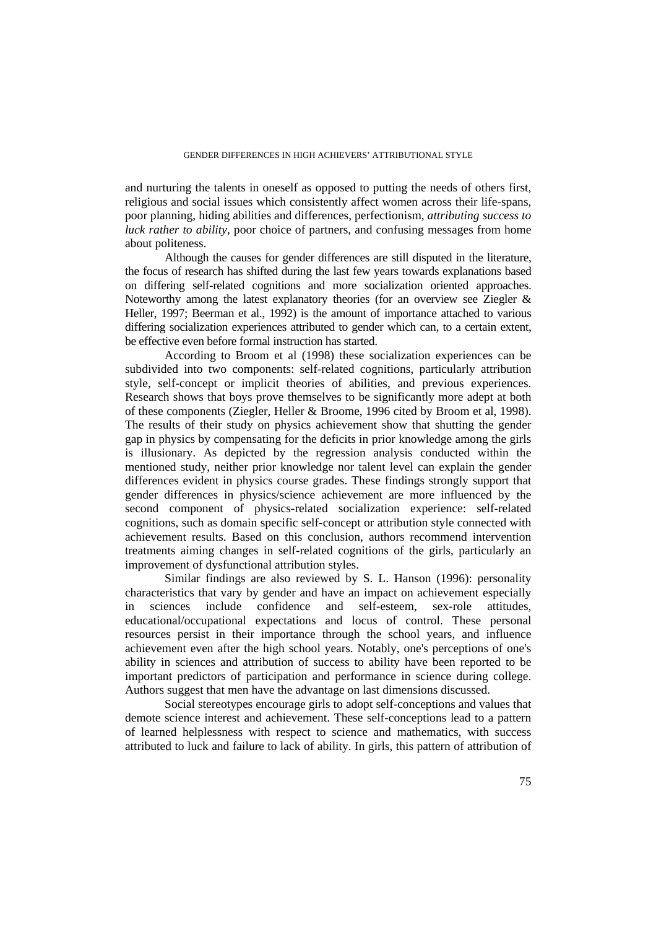and nurturing the talents in oneself as opposed to putting the needs of others first, religious and social issues which consistently affect women across their life-spans, poor planning, hiding abilities and differences, perfectionism, *attributing success to luck rather to ability*, poor choice of partners, and confusing messages from home about politeness.

Although the causes for gender differences are still disputed in the literature, the focus of research has shifted during the last few years towards explanations based on differing self-related cognitions and more socialization oriented approaches. Noteworthy among the latest explanatory theories (for an overview see Ziegler & Heller, 1997; Beerman et al., 1992) is the amount of importance attached to various differing socialization experiences attributed to gender which can, to a certain extent, be effective even before formal instruction has started.

According to Broom et al (1998) these socialization experiences can be subdivided into two components: self-related cognitions, particularly attribution style, self-concept or implicit theories of abilities, and previous experiences. Research shows that boys prove themselves to be significantly more adept at both of these components (Ziegler, Heller & Broome, 1996 cited by Broom et al, 1998). The results of their study on physics achievement show that shutting the gender gap in physics by compensating for the deficits in prior knowledge among the girls is illusionary. As depicted by the regression analysis conducted within the mentioned study, neither prior knowledge nor talent level can explain the gender differences evident in physics course grades. These findings strongly support that gender differences in physics/science achievement are more influenced by the second component of physics-related socialization experience: self-related cognitions, such as domain specific self-concept or attribution style connected with achievement results. Based on this conclusion, authors recommend intervention treatments aiming changes in self-related cognitions of the girls, particularly an improvement of dysfunctional attribution styles.

Similar findings are also reviewed by S. L. Hanson (1996): personality characteristics that vary by gender and have an impact on achievement especially in sciences include confidence and self-esteem, sex-role attitudes, educational/occupational expectations and locus of control. These personal resources persist in their importance through the school years, and influence achievement even after the high school years. Notably, one's perceptions of one's ability in sciences and attribution of success to ability have been reported to be important predictors of participation and performance in science during college. Authors suggest that men have the advantage on last dimensions discussed.

Social stereotypes encourage girls to adopt self-conceptions and values that demote science interest and achievement. These self-conceptions lead to a pattern of learned helplessness with respect to science and mathematics, with success attributed to luck and failure to lack of ability. In girls, this pattern of attribution of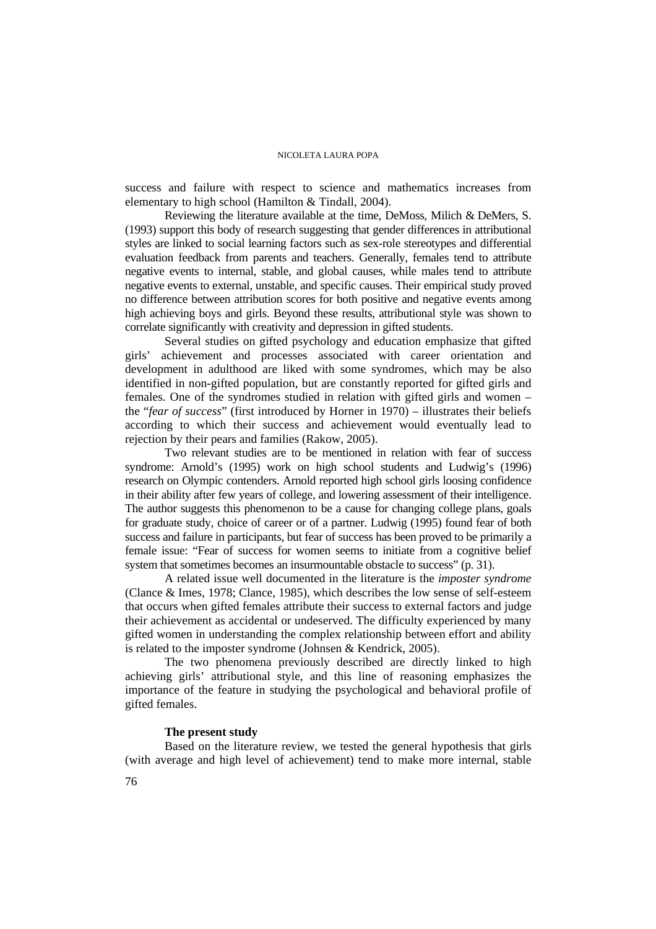success and failure with respect to science and mathematics increases from elementary to high school (Hamilton & Tindall, 2004).

Reviewing the literature available at the time, DeMoss, Milich & DeMers, S. (1993) support this body of research suggesting that gender differences in attributional styles are linked to social learning factors such as sex-role stereotypes and differential evaluation feedback from parents and teachers. Generally, females tend to attribute negative events to internal, stable, and global causes, while males tend to attribute negative events to external, unstable, and specific causes. Their empirical study proved no difference between attribution scores for both positive and negative events among high achieving boys and girls. Beyond these results, attributional style was shown to correlate significantly with creativity and depression in gifted students.

Several studies on gifted psychology and education emphasize that gifted girls' achievement and processes associated with career orientation and development in adulthood are liked with some syndromes, which may be also identified in non-gifted population, but are constantly reported for gifted girls and females. One of the syndromes studied in relation with gifted girls and women – the "*fear of success*" (first introduced by Horner in 1970) – illustrates their beliefs according to which their success and achievement would eventually lead to rejection by their pears and families (Rakow, 2005).

Two relevant studies are to be mentioned in relation with fear of success syndrome: Arnold's (1995) work on high school students and Ludwig's (1996) research on Olympic contenders. Arnold reported high school girls loosing confidence in their ability after few years of college, and lowering assessment of their intelligence. The author suggests this phenomenon to be a cause for changing college plans, goals for graduate study, choice of career or of a partner. Ludwig (1995) found fear of both success and failure in participants, but fear of success has been proved to be primarily a female issue: "Fear of success for women seems to initiate from a cognitive belief system that sometimes becomes an insurmountable obstacle to success" (p. 31).

A related issue well documented in the literature is the *imposter syndrome* (Clance & Imes, 1978; Clance, 1985), which describes the low sense of self-esteem that occurs when gifted females attribute their success to external factors and judge their achievement as accidental or undeserved. The difficulty experienced by many gifted women in understanding the complex relationship between effort and ability is related to the imposter syndrome (Johnsen & Kendrick, 2005).

The two phenomena previously described are directly linked to high achieving girls' attributional style, and this line of reasoning emphasizes the importance of the feature in studying the psychological and behavioral profile of gifted females.

# **The present study**

Based on the literature review, we tested the general hypothesis that girls (with average and high level of achievement) tend to make more internal, stable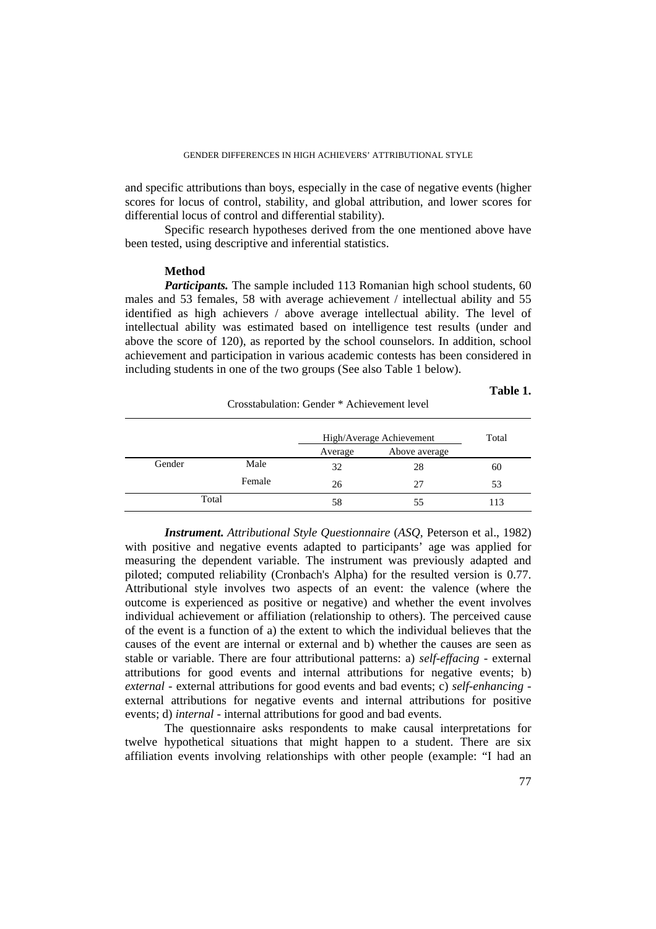and specific attributions than boys, especially in the case of negative events (higher scores for locus of control, stability, and global attribution, and lower scores for differential locus of control and differential stability).

Specific research hypotheses derived from the one mentioned above have been tested, using descriptive and inferential statistics.

## **Method**

*Participants.* The sample included 113 Romanian high school students, 60 males and 53 females, 58 with average achievement / intellectual ability and 55 identified as high achievers / above average intellectual ability. The level of intellectual ability was estimated based on intelligence test results (under and above the score of 120), as reported by the school counselors. In addition, school achievement and participation in various academic contests has been considered in including students in one of the two groups (See also Table 1 below).

### **Table 1.**

| Crosstabulation: Gender * Achievement level |        |                          |               |       |
|---------------------------------------------|--------|--------------------------|---------------|-------|
|                                             |        | High/Average Achievement |               | Total |
|                                             |        | Average                  | Above average |       |
| Gender                                      | Male   | 32                       | 28            | 60    |
|                                             | Female | 26                       | 27            | 53    |
| Total                                       |        | 58                       | 55            | 113   |

*Instrument***.** *Attributional Style Questionnaire* (*ASQ,* Peterson et al., 1982) with positive and negative events adapted to participants' age was applied for measuring the dependent variable. The instrument was previously adapted and piloted; computed reliability (Cronbach's Alpha) for the resulted version is 0.77. Attributional style involves two aspects of an event: the valence (where the outcome is experienced as positive or negative) and whether the event involves individual achievement or affiliation (relationship to others). The perceived cause of the event is a function of a) the extent to which the individual believes that the causes of the event are internal or external and b) whether the causes are seen as stable or variable. There are four attributional patterns: a) *self-effacing* - external attributions for good events and internal attributions for negative events; b) *external* - external attributions for good events and bad events; c) *self-enhancing* external attributions for negative events and internal attributions for positive events; d) *internal* - internal attributions for good and bad events.

The questionnaire asks respondents to make causal interpretations for twelve hypothetical situations that might happen to a student. There are six affiliation events involving relationships with other people (example: "I had an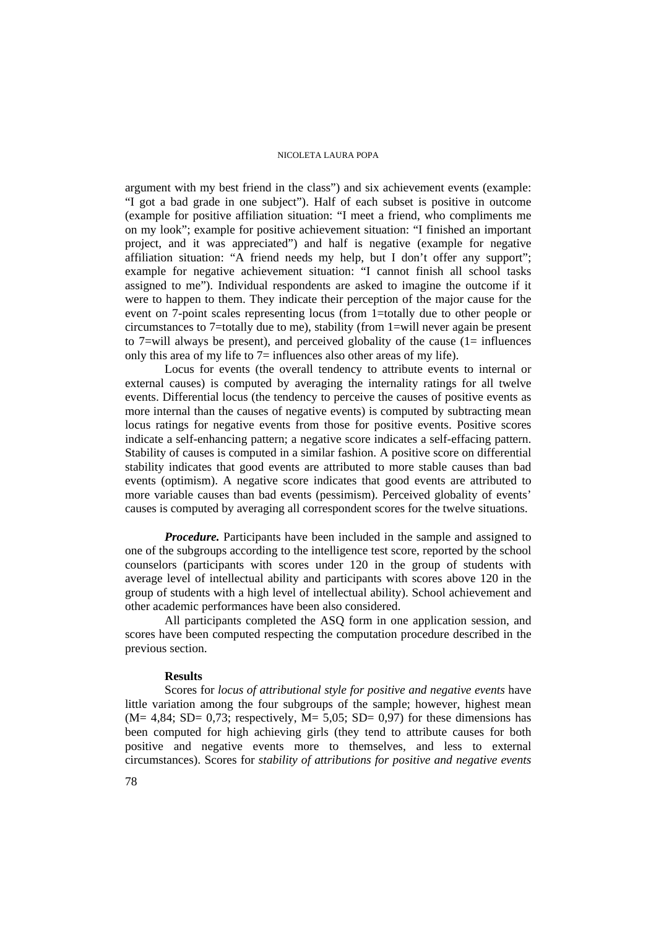argument with my best friend in the class") and six achievement events (example: "I got a bad grade in one subject"). Half of each subset is positive in outcome (example for positive affiliation situation: "I meet a friend, who compliments me on my look"; example for positive achievement situation: "I finished an important project, and it was appreciated") and half is negative (example for negative affiliation situation: "A friend needs my help, but I don't offer any support"; example for negative achievement situation: "I cannot finish all school tasks assigned to me"). Individual respondents are asked to imagine the outcome if it were to happen to them. They indicate their perception of the major cause for the event on 7-point scales representing locus (from 1=totally due to other people or circumstances to 7=totally due to me), stability (from 1=will never again be present to 7=will always be present), and perceived globality of the cause  $(1=$  influences only this area of my life to 7= influences also other areas of my life).

Locus for events (the overall tendency to attribute events to internal or external causes) is computed by averaging the internality ratings for all twelve events. Differential locus (the tendency to perceive the causes of positive events as more internal than the causes of negative events) is computed by subtracting mean locus ratings for negative events from those for positive events. Positive scores indicate a self-enhancing pattern; a negative score indicates a self-effacing pattern. Stability of causes is computed in a similar fashion. A positive score on differential stability indicates that good events are attributed to more stable causes than bad events (optimism). A negative score indicates that good events are attributed to more variable causes than bad events (pessimism). Perceived globality of events' causes is computed by averaging all correspondent scores for the twelve situations.

*Procedure.* Participants have been included in the sample and assigned to one of the subgroups according to the intelligence test score, reported by the school counselors (participants with scores under 120 in the group of students with average level of intellectual ability and participants with scores above 120 in the group of students with a high level of intellectual ability). School achievement and other academic performances have been also considered.

All participants completed the ASQ form in one application session, and scores have been computed respecting the computation procedure described in the previous section.

#### **Results**

Scores for *locus of attributional style for positive and negative events* have little variation among the four subgroups of the sample; however, highest mean  $(M= 4,84; SD= 0,73; respectively, M= 5,05; SD= 0,97)$  for these dimensions has been computed for high achieving girls (they tend to attribute causes for both positive and negative events more to themselves, and less to external circumstances). Scores for *stability of attributions for positive and negative events*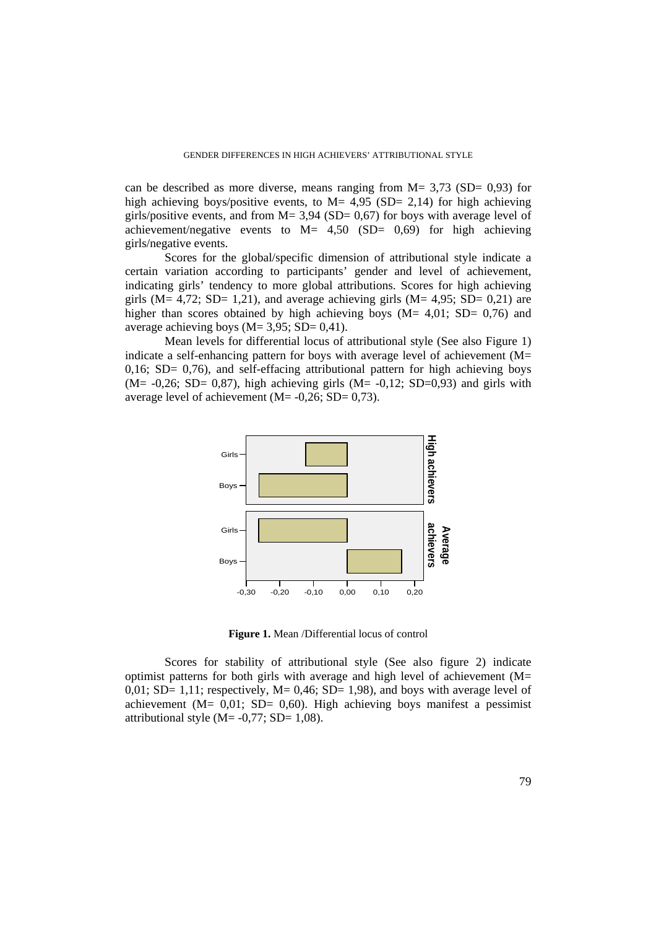can be described as more diverse, means ranging from  $M = 3.73$  (SD= 0.93) for high achieving boys/positive events, to  $M = 4.95$  (SD= 2,14) for high achieving girls/positive events, and from  $M = 3.94$  (SD= 0.67) for boys with average level of achievement/negative events to  $M = 4,50$  (SD= 0,69) for high achieving girls/negative events.

Scores for the global/specific dimension of attributional style indicate a certain variation according to participants' gender and level of achievement, indicating girls' tendency to more global attributions. Scores for high achieving girls ( $M = 4.72$ ; SD= 1,21), and average achieving girls ( $M = 4.95$ ; SD= 0,21) are higher than scores obtained by high achieving boys ( $M = 4.01$ ; SD= 0,76) and average achieving boys ( $M = 3.95$ ; SD= 0,41).

Mean levels for differential locus of attributional style (See also Figure 1) indicate a self-enhancing pattern for boys with average level of achievement (M=  $0.16$ ; SD=  $0.76$ ), and self-effacing attributional pattern for high achieving boys  $(M=-0.26; SD= 0.87)$ , high achieving girls  $(M=-0.12; SD=0.93)$  and girls with average level of achievement  $(M= -0.26; SD = 0.73)$ .



**Figure 1.** Mean /Differential locus of control

Scores for stability of attributional style (See also figure 2) indicate optimist patterns for both girls with average and high level of achievement (M= 0,01; SD= 1,11; respectively,  $M = 0.46$ ; SD= 1,98), and boys with average level of achievement ( $M = 0.01$ ; SD= 0.60). High achieving boys manifest a pessimist attributional style  $(M= -0.77; SD= 1.08)$ .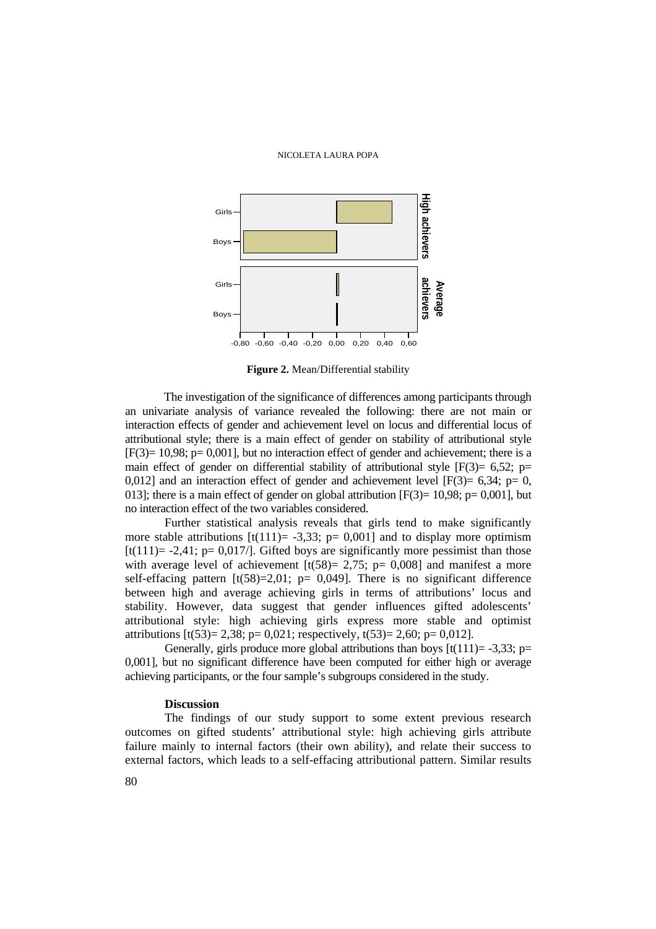

**Figure 2.** Mean/Differential stability

The investigation of the significance of differences among participants through an univariate analysis of variance revealed the following: there are not main or interaction effects of gender and achievement level on locus and differential locus of attributional style; there is a main effect of gender on stability of attributional style  $[F(3) = 10,98; p = 0,001]$ , but no interaction effect of gender and achievement; there is a main effect of gender on differential stability of attributional style  $[F(3) = 6.52; p=$ 0,012] and an interaction effect of gender and achievement level  $[F(3) = 6,34; p= 0,$ 013]; there is a main effect of gender on global attribution  $[F(3) = 10,98; p = 0,001]$ , but no interaction effect of the two variables considered.

Further statistical analysis reveals that girls tend to make significantly more stable attributions  $[t(111)= -3,33; p= 0,001]$  and to display more optimism  $[t(111) = -2.41$ ; p= 0,017/l. Gifted boys are significantly more pessimist than those with average level of achievement  $[t(58) = 2,75; p= 0,008]$  and manifest a more self-effacing pattern  $[t(58)=2,01; p= 0,049]$ . There is no significant difference between high and average achieving girls in terms of attributions' locus and stability. However, data suggest that gender influences gifted adolescents' attributional style: high achieving girls express more stable and optimist attributions  $[t(53)= 2,38; p= 0,021;$  respectively,  $t(53)= 2,60; p= 0,012$ . Give<br> **External factors** and  $\frac{1}{2}$  **External factors** ( $\frac{1}{2}$  **External factors** ( $\frac{1}{2}$  **Conserverse** action of the significance of differences atmosp participants through<br> **External factors** and  $\frac{1}{2}$  **Ext** 

Generally, girls produce more global attributions than boys  $[t(111)= -3,33; p=$ 0,001], but no significant difference have been computed for either high or average achieving participants, or the four sample's subgroups considered in the study.

## **Discussion**

The findings of our study support to some extent previous research outcomes on gifted students' attributional style: high achieving girls attribute failure mainly to internal factors (their own ability), and relate their success to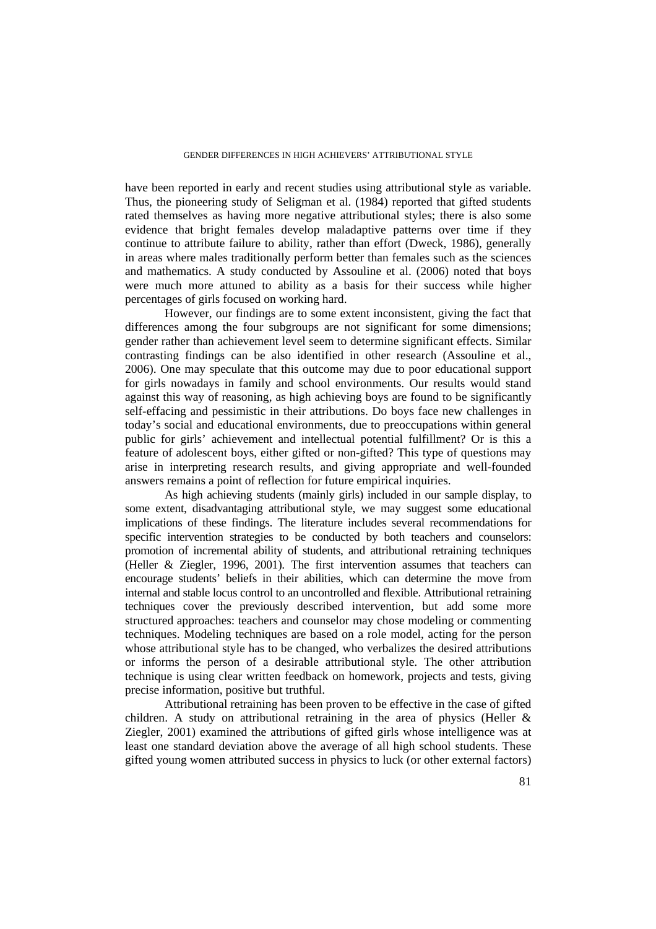have been reported in early and recent studies using attributional style as variable. Thus, the pioneering study of Seligman et al. (1984) reported that gifted students rated themselves as having more negative attributional styles; there is also some evidence that bright females develop maladaptive patterns over time if they continue to attribute failure to ability, rather than effort (Dweck, 1986), generally in areas where males traditionally perform better than females such as the sciences and mathematics. A study conducted by Assouline et al. (2006) noted that boys were much more attuned to ability as a basis for their success while higher percentages of girls focused on working hard.

However, our findings are to some extent inconsistent, giving the fact that differences among the four subgroups are not significant for some dimensions; gender rather than achievement level seem to determine significant effects. Similar contrasting findings can be also identified in other research (Assouline et al., 2006). One may speculate that this outcome may due to poor educational support for girls nowadays in family and school environments. Our results would stand against this way of reasoning, as high achieving boys are found to be significantly self-effacing and pessimistic in their attributions. Do boys face new challenges in today's social and educational environments, due to preoccupations within general public for girls' achievement and intellectual potential fulfillment? Or is this a feature of adolescent boys, either gifted or non-gifted? This type of questions may arise in interpreting research results, and giving appropriate and well-founded answers remains a point of reflection for future empirical inquiries.

As high achieving students (mainly girls) included in our sample display, to some extent, disadvantaging attributional style, we may suggest some educational implications of these findings. The literature includes several recommendations for specific intervention strategies to be conducted by both teachers and counselors: promotion of incremental ability of students, and attributional retraining techniques (Heller & Ziegler, 1996, 2001). The first intervention assumes that teachers can encourage students' beliefs in their abilities, which can determine the move from internal and stable locus control to an uncontrolled and flexible. Attributional retraining techniques cover the previously described intervention, but add some more structured approaches: teachers and counselor may chose modeling or commenting techniques. Modeling techniques are based on a role model, acting for the person whose attributional style has to be changed, who verbalizes the desired attributions or informs the person of a desirable attributional style. The other attribution technique is using clear written feedback on homework, projects and tests, giving precise information, positive but truthful.

Attributional retraining has been proven to be effective in the case of gifted children. A study on attributional retraining in the area of physics (Heller & Ziegler, 2001) examined the attributions of gifted girls whose intelligence was at least one standard deviation above the average of all high school students. These gifted young women attributed success in physics to luck (or other external factors)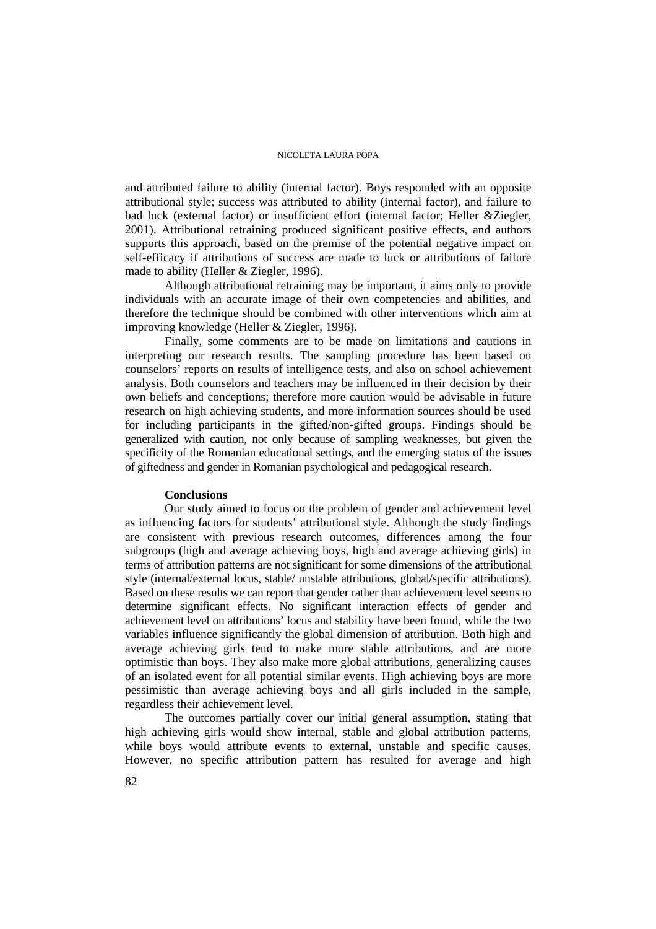and attributed failure to ability (internal factor). Boys responded with an opposite attributional style; success was attributed to ability (internal factor), and failure to bad luck (external factor) or insufficient effort (internal factor; Heller &Ziegler, 2001). Attributional retraining produced significant positive effects, and authors supports this approach, based on the premise of the potential negative impact on self-efficacy if attributions of success are made to luck or attributions of failure made to ability (Heller & Ziegler, 1996).

Although attributional retraining may be important, it aims only to provide individuals with an accurate image of their own competencies and abilities, and therefore the technique should be combined with other interventions which aim at improving knowledge (Heller & Ziegler, 1996).

Finally, some comments are to be made on limitations and cautions in interpreting our research results. The sampling procedure has been based on counselors' reports on results of intelligence tests, and also on school achievement analysis. Both counselors and teachers may be influenced in their decision by their own beliefs and conceptions; therefore more caution would be advisable in future research on high achieving students, and more information sources should be used for including participants in the gifted/non-gifted groups. Findings should be generalized with caution, not only because of sampling weaknesses, but given the specificity of the Romanian educational settings, and the emerging status of the issues of giftedness and gender in Romanian psychological and pedagogical research.

#### **Conclusions**

Our study aimed to focus on the problem of gender and achievement level as influencing factors for students' attributional style. Although the study findings are consistent with previous research outcomes, differences among the four subgroups (high and average achieving boys, high and average achieving girls) in terms of attribution patterns are not significant for some dimensions of the attributional style (internal/external locus, stable/ unstable attributions, global/specific attributions). Based on these results we can report that gender rather than achievement level seems to determine significant effects. No significant interaction effects of gender and achievement level on attributions' locus and stability have been found, while the two variables influence significantly the global dimension of attribution. Both high and average achieving girls tend to make more stable attributions, and are more optimistic than boys. They also make more global attributions, generalizing causes of an isolated event for all potential similar events. High achieving boys are more pessimistic than average achieving boys and all girls included in the sample, regardless their achievement level.

The outcomes partially cover our initial general assumption, stating that high achieving girls would show internal, stable and global attribution patterns, while boys would attribute events to external, unstable and specific causes. However, no specific attribution pattern has resulted for average and high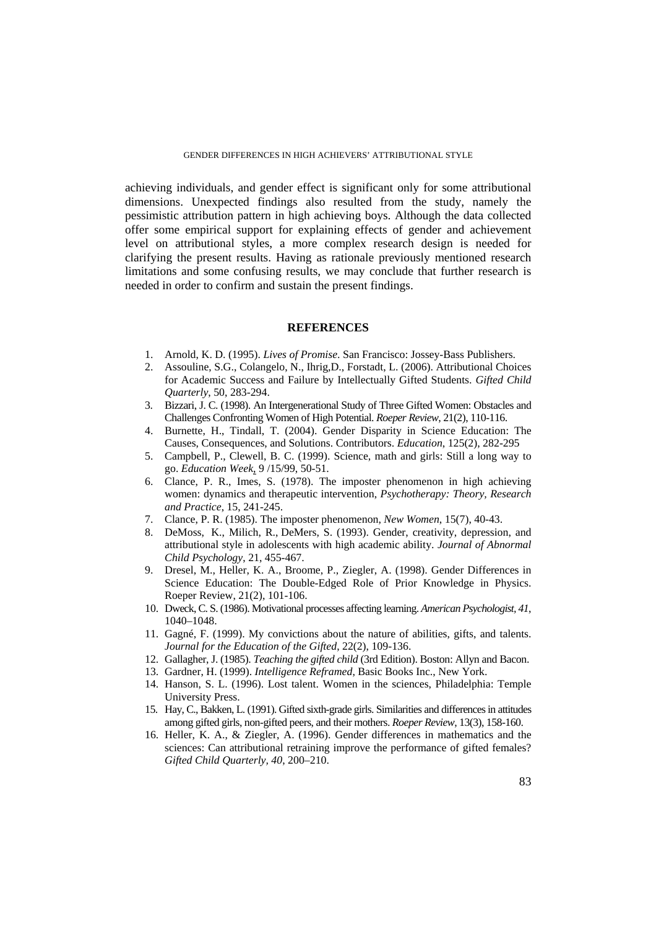achieving individuals, and gender effect is significant only for some attributional dimensions. Unexpected findings also resulted from the study, namely the pessimistic attribution pattern in high achieving boys. Although the data collected offer some empirical support for explaining effects of gender and achievement level on attributional styles, a more complex research design is needed for clarifying the present results. Having as rationale previously mentioned research limitations and some confusing results, we may conclude that further research is needed in order to confirm and sustain the present findings.

#### **REFERENCES**

- 1. Arnold, K. D. (1995). *Lives of Promise*. San Francisco: Jossey-Bass Publishers.
- 2. Assouline, S.G., Colangelo, N., Ihrig,D., Forstadt, L. (2006). Attributional Choices for Academic Success and Failure by Intellectually Gifted Students. *Gifted Child Quarterly*, 50, 283-294.
- 3. Bizzari, J. C. (1998). An Intergenerational Study of Three Gifted Women: Obstacles and Challenges Confronting Women of High Potential. *Roeper Review*, 21(2), 110-116.
- 4. Burnette, H., Tindall, T. (2004). Gender Disparity in Science Education: The Causes, Consequences, and Solutions. Contributors. *Education*, 125(2), 282-295
- 5. Campbell, P., Clewell, B. C. (1999). Science, math and girls: Still a long way to go. *Education Week*, 9 /15/99, 50-51.
- 6. Clance, P. R., Imes, S. (1978). The imposter phenomenon in high achieving women: dynamics and therapeutic intervention, *Psychotherapy: Theory, Research and Practice*, 15, 241-245.
- 7. Clance, P. R. (1985). The imposter phenomenon, *New Women*, 15(7), 40-43.
- 8. DeMoss, K., Milich, R., DeMers, S. (1993). Gender, creativity, depression, and attributional style in adolescents with high academic ability. *Journal of Abnormal Child Psychology*, 21, 455-467.
- 9. Dresel, M., Heller, K. A., Broome, P., Ziegler, A. (1998). Gender Differences in Science Education: The Double-Edged Role of Prior Knowledge in Physics. Roeper Review, 21(2), 101-106.
- 10. Dweck, C. S. (1986). Motivational processes affecting learning. *American Psychologist, 41*, 1040–1048.
- 11. Gagné, F. (1999). My convictions about the nature of abilities, gifts, and talents. *Journal for the Education of the Gifted*, 22(2), 109-136.
- 12. Gallagher, J. (1985). *Teaching the gifted child* (3rd Edition). Boston: Allyn and Bacon.
- 13. Gardner, H. (1999). *Intelligence Reframed*, Basic Books Inc., New York.
- 14. Hanson, S. L. (1996). Lost talent. Women in the sciences, Philadelphia: Temple University Press.
- 15. Hay, C., Bakken, L. (1991). Gifted sixth-grade girls. Similarities and differences in attitudes among gifted girls, non-gifted peers, and their mothers. *Roeper Review*, 13(3), 158-160.
- 16. Heller, K. A., & Ziegler, A. (1996). Gender differences in mathematics and the sciences: Can attributional retraining improve the performance of gifted females? *Gifted Child Quarterly, 40*, 200–210.